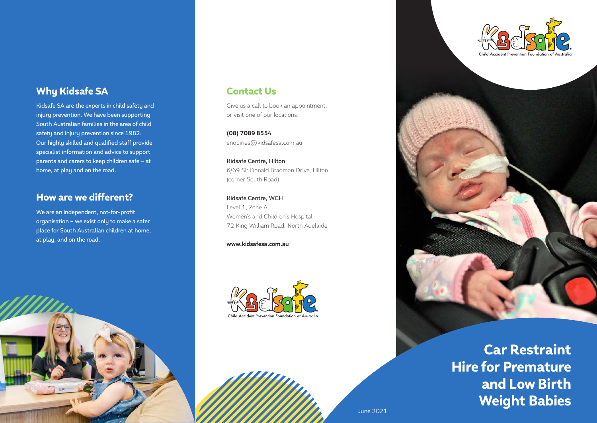### Why Kidsafe SA

Kidsafe SA are the experts in child safety and injury prevention. We have been supporting South Australian families in the area of child safety and injury prevention since 1982. Our highly skilled and qualified staff provide specialist information and advice to support parents and carers to keep children safe – at home, at play and on the road.

### How are we different?

We are an independent, not-for-profit organisation – we exist only to make a safer place for South Australian children at home, at play, and on the road.



### Contact Us

Give us a call to book an appointment, or visit one of our locations:

**(08) 7089 8554** enquiries@kidsafesa.com.au

Kidsafe Centre, Hilton 6/69 Sir Donald Bradman Drive, Hilton (corner South Road)

Kidsafe Centre, WCH Level 1, Zone A Women's and Children's Hospital 72 King William Road, North Adelaide

**www.kidsafesa.com.au**







Car Restraint Hire for Premature and Low Birth Weight Babies